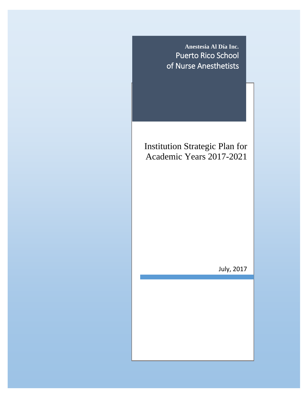

# Institution Strategic Plan for Academic Years 2017-2021

July, 2017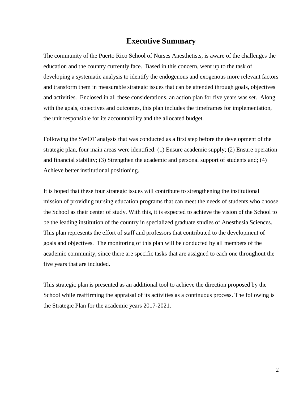## **Executive Summary**

The community of the Puerto Rico School of Nurses Anesthetists, is aware of the challenges the education and the country currently face. Based in this concern, went up to the task of developing a systematic analysis to identify the endogenous and exogenous more relevant factors and transform them in measurable strategic issues that can be attended through goals, objectives and activities. Enclosed in all these considerations, an action plan for five years was set. Along with the goals, objectives and outcomes, this plan includes the timeframes for implementation, the unit responsible for its accountability and the allocated budget.

Following the SWOT analysis that was conducted as a first step before the development of the strategic plan, four main areas were identified: (1) Ensure academic supply; (2) Ensure operation and financial stability; (3) Strengthen the academic and personal support of students and; (4) Achieve better institutional positioning.

It is hoped that these four strategic issues will contribute to strengthening the institutional mission of providing nursing education programs that can meet the needs of students who choose the School as their center of study. With this, it is expected to achieve the vision of the School to be the leading institution of the country in specialized graduate studies of Anesthesia Sciences. This plan represents the effort of staff and professors that contributed to the development of goals and objectives. The monitoring of this plan will be conducted by all members of the academic community, since there are specific tasks that are assigned to each one throughout the five years that are included.

This strategic plan is presented as an additional tool to achieve the direction proposed by the School while reaffirming the appraisal of its activities as a continuous process. The following is the Strategic Plan for the academic years 2017-2021.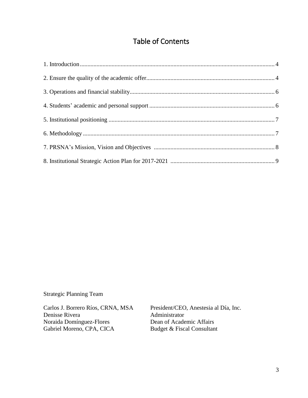## Table of Contents

Strategic Planning Team

Carlos J. Borrero Ríos, CRNA, MSA President/CEO, Anestesia al Día, Inc. Denisse Rivera<br>
Noraida Domínguez-Flores<br>
2015 - Dean of Academic Affairs<br>
2021 - Dean of Academic Affairs Noraida Domínguez-Flores<br>
Gabriel Moreno, CPA, CICA<br>
Budget & Fiscal Consultant Gabriel Moreno, CPA, CICA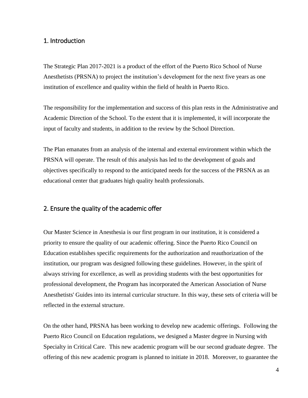### <span id="page-3-0"></span>1. Introduction

The Strategic Plan 2017-2021 is a product of the effort of the Puerto Rico School of Nurse Anesthetists (PRSNA) to project the institution's development for the next five years as one institution of excellence and quality within the field of health in Puerto Rico.

The responsibility for the implementation and success of this plan rests in the Administrative and Academic Direction of the School. To the extent that it is implemented, it will incorporate the input of faculty and students, in addition to the review by the School Direction.

The Plan emanates from an analysis of the internal and external environment within which the PRSNA will operate. The result of this analysis has led to the development of goals and objectives specifically to respond to the anticipated needs for the success of the PRSNA as an educational center that graduates high quality health professionals.

### <span id="page-3-1"></span>2. Ensure the quality of the academic offer

Our Master Science in Anesthesia is our first program in our institution, it is considered a priority to ensure the quality of our academic offering. Since the Puerto Rico Council on Education establishes specific requirements for the authorization and reauthorization of the institution, our program was designed following these guidelines. However, in the spirit of always striving for excellence, as well as providing students with the best opportunities for professional development, the Program has incorporated the American Association of Nurse Anesthetists' Guides into its internal curricular structure. In this way, these sets of criteria will be reflected in the external structure.

On the other hand, PRSNA has been working to develop new academic offerings. Following the Puerto Rico Council on Education regulations, we designed a Master degree in Nursing with Specialty in Critical Care. This new academic program will be our second graduate degree. The offering of this new academic program is planned to initiate in 2018. Moreover, to guarantee the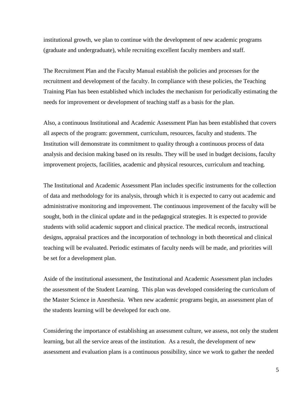institutional growth, we plan to continue with the development of new academic programs (graduate and undergraduate), while recruiting excellent faculty members and staff.

The Recruitment Plan and the Faculty Manual establish the policies and processes for the recruitment and development of the faculty. In compliance with these policies, the Teaching Training Plan has been established which includes the mechanism for periodically estimating the needs for improvement or development of teaching staff as a basis for the plan.

Also, a continuous Institutional and Academic Assessment Plan has been established that covers all aspects of the program: government, curriculum, resources, faculty and students. The Institution will demonstrate its commitment to quality through a continuous process of data analysis and decision making based on its results. They will be used in budget decisions, faculty improvement projects, facilities, academic and physical resources, curriculum and teaching.

The Institutional and Academic Assessment Plan includes specific instruments for the collection of data and methodology for its analysis, through which it is expected to carry out academic and administrative monitoring and improvement. The continuous improvement of the faculty will be sought, both in the clinical update and in the pedagogical strategies. It is expected to provide students with solid academic support and clinical practice. The medical records, instructional designs, appraisal practices and the incorporation of technology in both theoretical and clinical teaching will be evaluated. Periodic estimates of faculty needs will be made, and priorities will be set for a development plan.

Aside of the institutional assessment, the Institutional and Academic Assessment plan includes the assessment of the Student Learning. This plan was developed considering the curriculum of the Master Science in Anesthesia. When new academic programs begin, an assessment plan of the students learning will be developed for each one.

Considering the importance of establishing an assessment culture, we assess, not only the student learning, but all the service areas of the institution. As a result, the development of new assessment and evaluation plans is a continuous possibility, since we work to gather the needed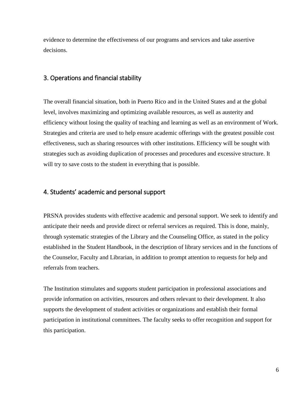evidence to determine the effectiveness of our programs and services and take assertive decisions.

### <span id="page-5-0"></span>3. Operations and financial stability

The overall financial situation, both in Puerto Rico and in the United States and at the global level, involves maximizing and optimizing available resources, as well as austerity and efficiency without losing the quality of teaching and learning as well as an environment of Work. Strategies and criteria are used to help ensure academic offerings with the greatest possible cost effectiveness, such as sharing resources with other institutions. Efficiency will be sought with strategies such as avoiding duplication of processes and procedures and excessive structure. It will try to save costs to the student in everything that is possible.

## <span id="page-5-1"></span>4. Students' academic and personal support

PRSNA provides students with effective academic and personal support. We seek to identify and anticipate their needs and provide direct or referral services as required. This is done, mainly, through systematic strategies of the Library and the Counseling Office, as stated in the policy established in the Student Handbook, in the description of library services and in the functions of the Counselor, Faculty and Librarian, in addition to prompt attention to requests for help and referrals from teachers.

The Institution stimulates and supports student participation in professional associations and provide information on activities, resources and others relevant to their development. It also supports the development of student activities or organizations and establish their formal participation in institutional committees. The faculty seeks to offer recognition and support for this participation.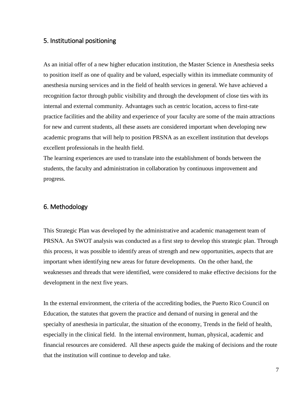#### <span id="page-6-0"></span>5. Institutional positioning

As an initial offer of a new higher education institution, the Master Science in Anesthesia seeks to position itself as one of quality and be valued, especially within its immediate community of anesthesia nursing services and in the field of health services in general. We have achieved a recognition factor through public visibility and through the development of close ties with its internal and external community. Advantages such as centric location, access to first-rate practice facilities and the ability and experience of your faculty are some of the main attractions for new and current students, all these assets are considered important when developing new academic programs that will help to position PRSNA as an excellent institution that develops excellent professionals in the health field.

The learning experiences are used to translate into the establishment of bonds between the students, the faculty and administration in collaboration by continuous improvement and progress.

## <span id="page-6-1"></span>6. Methodology

This Strategic Plan was developed by the administrative and academic management team of PRSNA. An SWOT analysis was conducted as a first step to develop this strategic plan. Through this process, it was possible to identify areas of strength and new opportunities, aspects that are important when identifying new areas for future developments. On the other hand, the weaknesses and threads that were identified, were considered to make effective decisions for the development in the next five years.

In the external environment, the criteria of the accrediting bodies, the Puerto Rico Council on Education, the statutes that govern the practice and demand of nursing in general and the specialty of anesthesia in particular, the situation of the economy, Trends in the field of health, especially in the clinical field. In the internal environment, human, physical, academic and financial resources are considered. All these aspects guide the making of decisions and the route that the institution will continue to develop and take.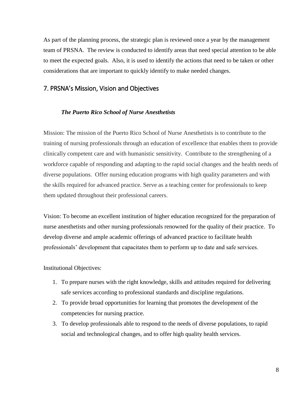As part of the planning process, the strategic plan is reviewed once a year by the management team of PRSNA. The review is conducted to identify areas that need special attention to be able to meet the expected goals. Also, it is used to identify the actions that need to be taken or other considerations that are important to quickly identify to make needed changes.

#### <span id="page-7-0"></span>7. PRSNA's Mission, Vision and Objectives

#### *The Puerto Rico School of Nurse Anesthetists*

Mission: The mission of the Puerto Rico School of Nurse Anesthetists is to contribute to the training of nursing professionals through an education of excellence that enables them to provide clinically competent care and with humanistic sensitivity. Contribute to the strengthening of a workforce capable of responding and adapting to the rapid social changes and the health needs of diverse populations. Offer nursing education programs with high quality parameters and with the skills required for advanced practice. Serve as a teaching center for professionals to keep them updated throughout their professional careers.

Vision: To become an excellent institution of higher education recognized for the preparation of nurse anesthetists and other nursing professionals renowned for the quality of their practice. To develop diverse and ample academic offerings of advanced practice to facilitate health professionals' development that capacitates them to perform up to date and safe services.

Institutional Objectives:

- 1. To prepare nurses with the right knowledge, skills and attitudes required for delivering safe services according to professional standards and discipline regulations.
- 2. To provide broad opportunities for learning that promotes the development of the competencies for nursing practice.
- 3. To develop professionals able to respond to the needs of diverse populations, to rapid social and technological changes, and to offer high quality health services.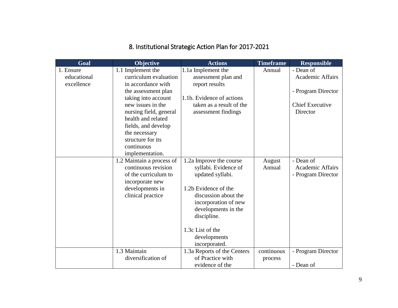# 8. Institutional Strategic Action Plan for 2017-2021

<span id="page-8-0"></span>

| Goal        | Objective                                        | <b>Actions</b>                                  | <b>Timeframe</b> | <b>Responsible</b>      |
|-------------|--------------------------------------------------|-------------------------------------------------|------------------|-------------------------|
| 1. Ensure   | 1.1 Implement the                                | 1.1a Implement the                              | Annual           | - Dean of               |
| educational | curriculum evaluation                            | assessment plan and                             |                  | <b>Academic Affairs</b> |
| excellence  | in accordance with                               | report results                                  |                  |                         |
|             | the assessment plan                              |                                                 |                  | - Program Director      |
|             | taking into account                              | 1.1b. Evidence of actions                       |                  |                         |
|             | new issues in the                                | taken as a result of the                        |                  | <b>Chief Executive</b>  |
|             | nursing field, general                           | assessment findings                             |                  | Director                |
|             | health and related                               |                                                 |                  |                         |
|             | fields, and develop                              |                                                 |                  |                         |
|             | the necessary                                    |                                                 |                  |                         |
|             | structure for its                                |                                                 |                  |                         |
|             | continuous                                       |                                                 |                  |                         |
|             | implementation.                                  |                                                 |                  | - Dean of               |
|             | 1.2 Maintain a process of<br>continuous revision | 1.2a Improve the course<br>syllabi. Evidence of | August<br>Annual | <b>Academic Affairs</b> |
|             | of the curriculum to                             | updated syllabi.                                |                  | - Program Director      |
|             | incorporate new                                  |                                                 |                  |                         |
|             | developments in                                  | 1.2b Evidence of the                            |                  |                         |
|             | clinical practice                                | discussion about the                            |                  |                         |
|             |                                                  | incorporation of new                            |                  |                         |
|             |                                                  | developments in the                             |                  |                         |
|             |                                                  | discipline.                                     |                  |                         |
|             |                                                  |                                                 |                  |                         |
|             |                                                  | 1.3c List of the                                |                  |                         |
|             |                                                  | developments                                    |                  |                         |
|             |                                                  | incorporated.                                   |                  |                         |
|             | 1.3 Maintain                                     | 1.3a Reports of the Centers                     | continuous       | - Program Director      |
|             | diversification of                               | of Practice with                                | process          |                         |
|             |                                                  | evidence of the                                 |                  | - Dean of               |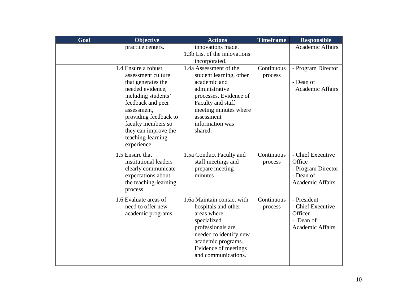| Goal | Objective                                                                                                                                                                                                                                                 | <b>Actions</b>                                                                                                                                                                                          | <b>Timeframe</b>      | <b>Responsible</b>                                                                  |
|------|-----------------------------------------------------------------------------------------------------------------------------------------------------------------------------------------------------------------------------------------------------------|---------------------------------------------------------------------------------------------------------------------------------------------------------------------------------------------------------|-----------------------|-------------------------------------------------------------------------------------|
|      | practice centers.                                                                                                                                                                                                                                         | innovations made.<br>1.3b List of the innovations<br>incorporated.                                                                                                                                      |                       | <b>Academic Affairs</b>                                                             |
|      | 1.4 Ensure a robust<br>assessment culture<br>that generates the<br>needed evidence,<br>including students'<br>feedback and peer<br>assessment,<br>providing feedback to<br>faculty members so<br>they can improve the<br>teaching-learning<br>experience. | 1.4a Assessment of the<br>student learning, other<br>academic and<br>administrative<br>processes. Evidence of<br>Faculty and staff<br>meeting minutes where<br>assessment<br>information was<br>shared. | Continuous<br>process | - Program Director<br>- Dean of<br><b>Academic Affairs</b>                          |
|      | 1.5 Ensure that<br>institutional leaders<br>clearly communicate<br>expectations about<br>the teaching-learning<br>process.                                                                                                                                | 1.5a Conduct Faculty and<br>staff meetings and<br>prepare meeting<br>minutes                                                                                                                            | Continuous<br>process | - Chief Executive<br>Office<br>- Program Director<br>- Dean of<br>Academic Affairs  |
|      | 1.6 Evaluate areas of<br>need to offer new<br>academic programs                                                                                                                                                                                           | 1.6a Maintain contact with<br>hospitals and other<br>areas where<br>specialized<br>professionals are<br>needed to identify new<br>academic programs.<br>Evidence of meetings<br>and communications.     | Continuous<br>process | - President<br>- Chief Executive<br>Officer<br>- Dean of<br><b>Academic Affairs</b> |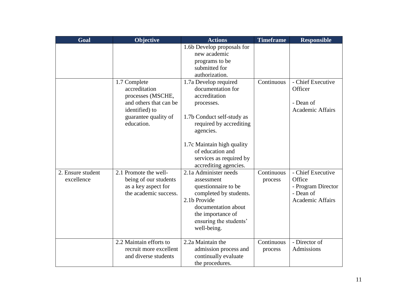| Goal                            | Objective                                                                                                                            | <b>Actions</b>                                                                                                                                                                                                                                        | <b>Timeframe</b>      | <b>Responsible</b>                                                                        |
|---------------------------------|--------------------------------------------------------------------------------------------------------------------------------------|-------------------------------------------------------------------------------------------------------------------------------------------------------------------------------------------------------------------------------------------------------|-----------------------|-------------------------------------------------------------------------------------------|
|                                 |                                                                                                                                      | 1.6b Develop proposals for<br>new academic<br>programs to be<br>submitted for<br>authorization.                                                                                                                                                       |                       |                                                                                           |
|                                 | 1.7 Complete<br>accreditation<br>processes (MSCHE,<br>and others that can be<br>identified) to<br>guarantee quality of<br>education. | 1.7a Develop required<br>documentation for<br>accreditation<br>processes.<br>1.7b Conduct self-study as<br>required by accrediting<br>agencies.<br>1.7c Maintain high quality<br>of education and<br>services as required by<br>accrediting agencies. | Continuous            | - Chief Executive<br>Officer<br>- Dean of<br><b>Academic Affairs</b>                      |
| 2. Ensure student<br>excellence | 2.1 Promote the well-<br>being of our students<br>as a key aspect for<br>the academic success.                                       | 2.1a Administer needs<br>assessment<br>questionnaire to be<br>completed by students.<br>2.1b Provide<br>documentation about<br>the importance of<br>ensuring the students'<br>well-being.                                                             | Continuous<br>process | - Chief Executive<br>Office<br>- Program Director<br>- Dean of<br><b>Academic Affairs</b> |
|                                 | 2.2 Maintain efforts to<br>recruit more excellent<br>and diverse students                                                            | 2.2a Maintain the<br>admission process and<br>continually evaluate<br>the procedures.                                                                                                                                                                 | Continuous<br>process | - Director of<br>Admissions                                                               |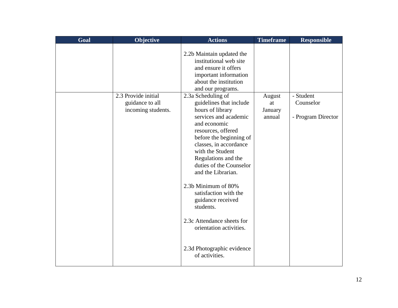| Goal | Objective                             | <b>Actions</b>                                                                                                                                                                                                                                                                                                                                                                                         | <b>Timeframe</b>        | <b>Responsible</b>              |
|------|---------------------------------------|--------------------------------------------------------------------------------------------------------------------------------------------------------------------------------------------------------------------------------------------------------------------------------------------------------------------------------------------------------------------------------------------------------|-------------------------|---------------------------------|
|      | 2.3 Provide initial                   | 2.2b Maintain updated the<br>institutional web site<br>and ensure it offers<br>important information<br>about the institution<br>and our programs.<br>2.3a Scheduling of                                                                                                                                                                                                                               | August                  | - Student                       |
|      | guidance to all<br>incoming students. | guidelines that include<br>hours of library<br>services and academic<br>and economic<br>resources, offered<br>before the beginning of<br>classes, in accordance<br>with the Student<br>Regulations and the<br>duties of the Counselor<br>and the Librarian.<br>2.3b Minimum of 80%<br>satisfaction with the<br>guidance received<br>students.<br>2.3c Attendance sheets for<br>orientation activities. | at<br>January<br>annual | Counselor<br>- Program Director |
|      |                                       | 2.3d Photographic evidence<br>of activities.                                                                                                                                                                                                                                                                                                                                                           |                         |                                 |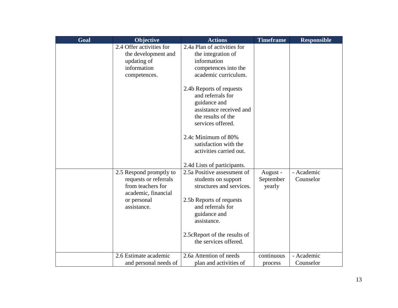| Goal | Objective                                                                                                                  | <b>Actions</b>                                                                                                                                                                                                                                                                                                                     | <b>Timeframe</b>                | <b>Responsible</b>      |
|------|----------------------------------------------------------------------------------------------------------------------------|------------------------------------------------------------------------------------------------------------------------------------------------------------------------------------------------------------------------------------------------------------------------------------------------------------------------------------|---------------------------------|-------------------------|
|      | 2.4 Offer activities for<br>the development and<br>updating of<br>information<br>competences.                              | 2.4a Plan of activities for<br>the integration of<br>information<br>competences into the<br>academic curriculum.<br>2.4b Reports of requests<br>and referrals for<br>guidance and<br>assistance received and<br>the results of the<br>services offered.<br>2.4c Minimum of 80%<br>satisfaction with the<br>activities carried out. |                                 |                         |
|      | 2.5 Respond promptly to<br>requests or referrals<br>from teachers for<br>academic, financial<br>or personal<br>assistance. | 2.4d Lists of participants.<br>2.5a Positive assessment of<br>students on support<br>structures and services.<br>2.5b Reports of requests<br>and referrals for<br>guidance and<br>assistance.<br>2.5cReport of the results of<br>the services offered.                                                                             | August -<br>September<br>yearly | - Academic<br>Counselor |
|      | 2.6 Estimate academic<br>and personal needs of                                                                             | 2.6a Attention of needs<br>plan and activities of                                                                                                                                                                                                                                                                                  | continuous<br>process           | - Academic<br>Counselor |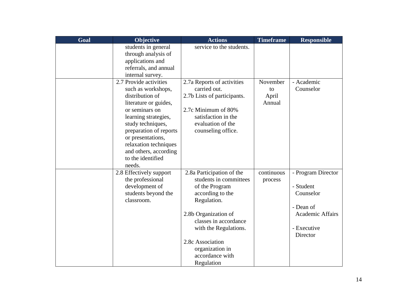| Goal | Objective               | <b>Actions</b>              | <b>Timeframe</b> | <b>Responsible</b> |
|------|-------------------------|-----------------------------|------------------|--------------------|
|      | students in general     | service to the students.    |                  |                    |
|      | through analysis of     |                             |                  |                    |
|      | applications and        |                             |                  |                    |
|      | referrals, and annual   |                             |                  |                    |
|      | internal survey.        |                             |                  |                    |
|      | 2.7 Provide activities  | 2.7a Reports of activities  | November         | - Academic         |
|      | such as workshops,      | carried out.                | to               | Counselor          |
|      | distribution of         | 2.7b Lists of participants. | April            |                    |
|      | literature or guides,   |                             | Annual           |                    |
|      | or seminars on          | 2.7c Minimum of 80%         |                  |                    |
|      | learning strategies,    | satisfaction in the         |                  |                    |
|      | study techniques,       | evaluation of the           |                  |                    |
|      | preparation of reports  | counseling office.          |                  |                    |
|      | or presentations,       |                             |                  |                    |
|      | relaxation techniques   |                             |                  |                    |
|      | and others, according   |                             |                  |                    |
|      | to the identified       |                             |                  |                    |
|      | needs.                  |                             |                  |                    |
|      | 2.8 Effectively support | 2.8a Participation of the   | continuous       | - Program Director |
|      | the professional        | students in committees      | process          |                    |
|      | development of          | of the Program              |                  | - Student          |
|      | students beyond the     | according to the            |                  | Counselor          |
|      | classroom.              | Regulation.                 |                  |                    |
|      |                         |                             |                  | - Dean of          |
|      |                         | 2.8b Organization of        |                  | Academic Affairs   |
|      |                         | classes in accordance       |                  |                    |
|      |                         | with the Regulations.       |                  | - Executive        |
|      |                         |                             |                  | Director           |
|      |                         | 2.8c Association            |                  |                    |
|      |                         | organization in             |                  |                    |
|      |                         | accordance with             |                  |                    |
|      |                         | Regulation                  |                  |                    |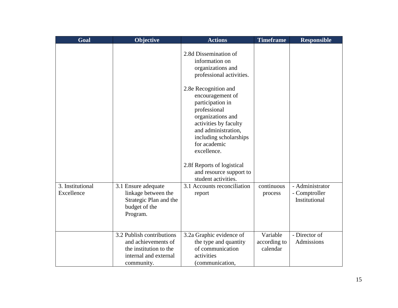| Goal                           | Objective                                                                                                         | <b>Actions</b>                                                                                                                                                                                             | <b>Timeframe</b>                     | <b>Responsible</b>                                |
|--------------------------------|-------------------------------------------------------------------------------------------------------------------|------------------------------------------------------------------------------------------------------------------------------------------------------------------------------------------------------------|--------------------------------------|---------------------------------------------------|
|                                |                                                                                                                   | 2.8d Dissemination of<br>information on<br>organizations and<br>professional activities.                                                                                                                   |                                      |                                                   |
|                                |                                                                                                                   | 2.8e Recognition and<br>encouragement of<br>participation in<br>professional<br>organizations and<br>activities by faculty<br>and administration,<br>including scholarships<br>for academic<br>excellence. |                                      |                                                   |
|                                |                                                                                                                   | 2.8f Reports of logistical<br>and resource support to<br>student activities.                                                                                                                               |                                      |                                                   |
| 3. Institutional<br>Excellence | 3.1 Ensure adequate<br>linkage between the<br>Strategic Plan and the<br>budget of the<br>Program.                 | 3.1 Accounts reconciliation<br>report                                                                                                                                                                      | continuous<br>process                | - Administrator<br>- Comptroller<br>Institutional |
|                                | 3.2 Publish contributions<br>and achievements of<br>the institution to the<br>internal and external<br>community. | 3.2a Graphic evidence of<br>the type and quantity<br>of communication<br>activities<br>(communication,                                                                                                     | Variable<br>according to<br>calendar | - Director of<br>Admissions                       |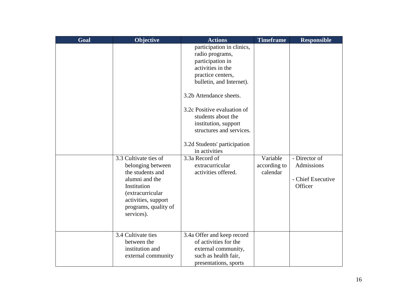| Goal | Objective                                                                                                                                                                        | <b>Actions</b>                                                                                                                                                                                                                                                                                                                                                                          | <b>Timeframe</b>                     | <b>Responsible</b>                                          |
|------|----------------------------------------------------------------------------------------------------------------------------------------------------------------------------------|-----------------------------------------------------------------------------------------------------------------------------------------------------------------------------------------------------------------------------------------------------------------------------------------------------------------------------------------------------------------------------------------|--------------------------------------|-------------------------------------------------------------|
|      | 3.3 Cultivate ties of<br>belonging between<br>the students and<br>alumni and the<br>Institution<br>(extracurricular<br>activities, support<br>programs, quality of<br>services). | participation in clinics,<br>radio programs,<br>participation in<br>activities in the<br>practice centers,<br>bulletin, and Internet).<br>3.2b Attendance sheets.<br>3.2c Positive evaluation of<br>students about the<br>institution, support<br>structures and services.<br>3.2d Students' participation<br>in activities<br>3.3a Record of<br>extracurricular<br>activities offered. | Variable<br>according to<br>calendar | - Director of<br>Admissions<br>- Chief Executive<br>Officer |
|      | 3.4 Cultivate ties<br>between the<br>institution and<br>external community                                                                                                       | 3.4a Offer and keep record<br>of activities for the<br>external community,<br>such as health fair,<br>presentations, sports                                                                                                                                                                                                                                                             |                                      |                                                             |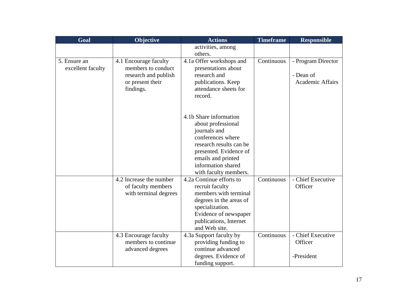| Goal              | <b>Objective</b>        | <b>Actions</b>           | <b>Timeframe</b> | <b>Responsible</b>      |
|-------------------|-------------------------|--------------------------|------------------|-------------------------|
|                   |                         | activities, among        |                  |                         |
|                   |                         | others.                  |                  |                         |
| 5. Ensure an      | 4.1 Encourage faculty   | 4.1a Offer workshops and | Continuous       | - Program Director      |
| excellent faculty | members to conduct      | presentations about      |                  |                         |
|                   | research and publish    | research and             |                  | - Dean of               |
|                   | or present their        | publications. Keep       |                  | <b>Academic Affairs</b> |
|                   | findings.               | attendance sheets for    |                  |                         |
|                   |                         | record.                  |                  |                         |
|                   |                         |                          |                  |                         |
|                   |                         |                          |                  |                         |
|                   |                         | 4.1b Share information   |                  |                         |
|                   |                         | about professional       |                  |                         |
|                   |                         | journals and             |                  |                         |
|                   |                         | conferences where        |                  |                         |
|                   |                         | research results can be  |                  |                         |
|                   |                         | presented. Evidence of   |                  |                         |
|                   |                         | emails and printed       |                  |                         |
|                   |                         | information shared       |                  |                         |
|                   |                         | with faculty members.    |                  |                         |
|                   | 4.2 Increase the number | 4.2a Continue efforts to | Continuous       | - Chief Executive       |
|                   | of faculty members      | recruit faculty          |                  | Officer                 |
|                   | with terminal degrees   | members with terminal    |                  |                         |
|                   |                         | degrees in the areas of  |                  |                         |
|                   |                         | specialization.          |                  |                         |
|                   |                         | Evidence of newspaper    |                  |                         |
|                   |                         | publications, Internet   |                  |                         |
|                   |                         | and Web site.            |                  |                         |
|                   | 4.3 Encourage faculty   | 4.3a Support faculty by  | Continuous       | - Chief Executive       |
|                   | members to continue     | providing funding to     |                  | Officer                 |
|                   | advanced degrees        | continue advanced        |                  |                         |
|                   |                         | degrees. Evidence of     |                  | -President              |
|                   |                         | funding support.         |                  |                         |